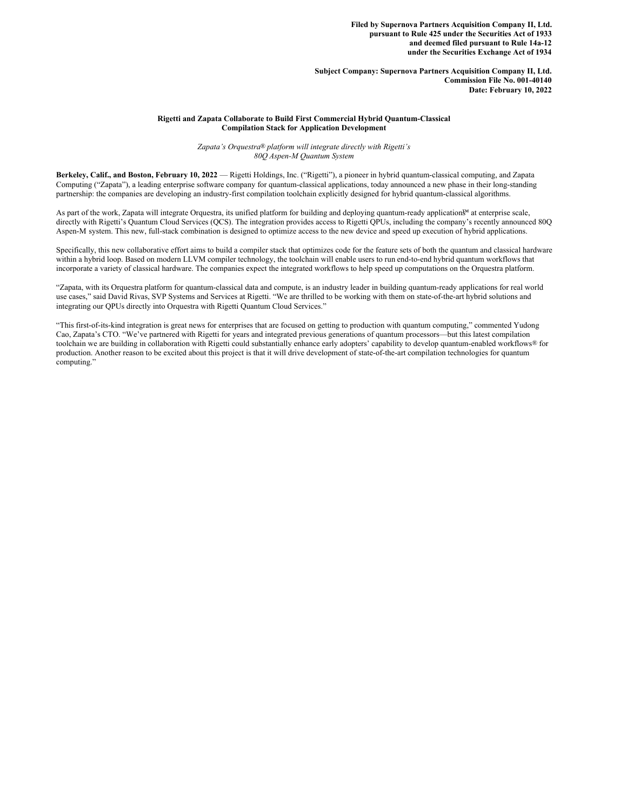**Filed by Supernova Partners Acquisition Company II, Ltd. pursuant to Rule 425 under the Securities Act of 1933 and deemed filed pursuant to Rule 14a-12 under the Securities Exchange Act of 1934**

**Subject Company: Supernova Partners Acquisition Company II, Ltd. Commission File No. 001-40140 Date: February 10, 2022**

# **Rigetti and Zapata Collaborate to Build First Commercial Hybrid Quantum-Classical Compilation Stack for Application Development**

*Zapata's Orquestra® platform will integrate directly with Rigetti's 80Q Aspen-M Quantum System*

**Berkeley, Calif., and Boston, February 10, 2022** — Rigetti Holdings, Inc. ("Rigetti"), a pioneer in hybrid quantum-classical computing, and Zapata Computing ("Zapata"), a leading enterprise software company for quantum-classical applications, today announced a new phase in their long-standing partnership: the companies are developing an industry-first compilation toolchain explicitly designed for hybrid quantum-classical algorithms.

As part of the work, Zapata will integrate Orquestra, its unified platform for building and deploying quantum-ready application™ at enterprise scale, directly with Rigetti's Quantum Cloud Services (OCS). The integration provides access to Rigetti OPUs, including the company's recently announced 800 Aspen-M system. This new, full-stack combination is designed to optimize access to the new device and speed up execution of hybrid applications.

Specifically, this new collaborative effort aims to build a compiler stack that optimizes code for the feature sets of both the quantum and classical hardware within a hybrid loop. Based on modern LLVM compiler technology, the toolchain will enable users to run end-to-end hybrid quantum workflows that incorporate a variety of classical hardware. The companies expect the integrated workflows to help speed up computations on the Orquestra platform.

"Zapata, with its Orquestra platform for quantum-classical data and compute, is an industry leader in building quantum-ready applications for real world use cases," said David Rivas, SVP Systems and Services at Rigetti. "We are thrilled to be working with them on state-of-the-art hybrid solutions and integrating our QPUs directly into Orquestra with Rigetti Quantum Cloud Services."

"This first-of-its-kind integration is great news for enterprises that are focused on getting to production with quantum computing," commented Yudong Cao, Zapata's CTO. "We've partnered with Rigetti for years and integrated previous generations of quantum processors—but this latest compilation toolchain we are building in collaboration with Rigetti could substantially enhance early adopters' capability to develop quantum-enabled workflows® for production. Another reason to be excited about this project is that it will drive development of state-of-the-art compilation technologies for quantum computing."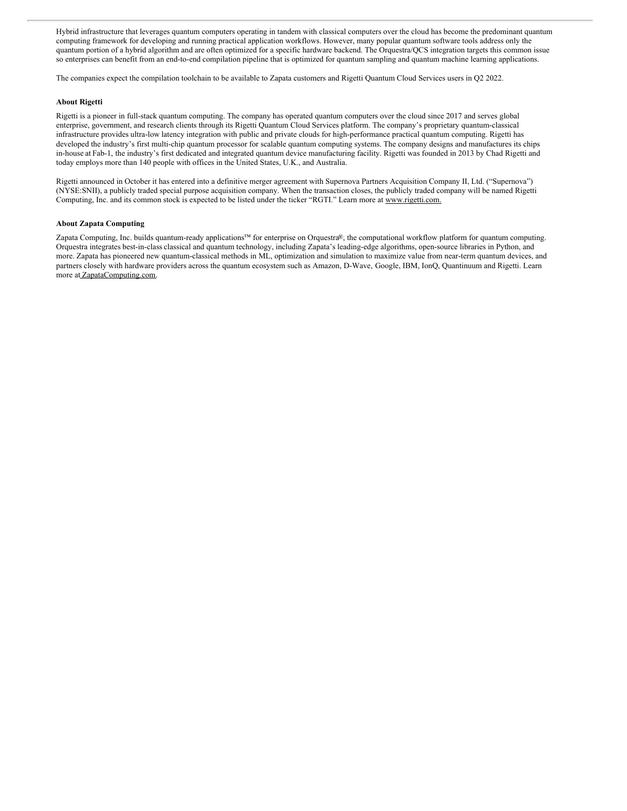Hybrid infrastructure that leverages quantum computers operating in tandem with classical computers over the cloud has become the predominant quantum computing framework for developing and running practical application workflows. However, many popular quantum software tools address only the quantum portion of a hybrid algorithm and are often optimized for a specific hardware backend. The Orquestra/QCS integration targets this common issue so enterprises can benefit from an end-to-end compilation pipeline that is optimized for quantum sampling and quantum machine learning applications.

The companies expect the compilation toolchain to be available to Zapata customers and Rigetti Quantum Cloud Services users in Q2 2022.

# **About Rigetti**

Rigetti is a pioneer in full-stack quantum computing. The company has operated quantum computers over the cloud since 2017 and serves global enterprise, government, and research clients through its Rigetti Quantum Cloud Services platform. The company's proprietary quantum-classical infrastructure provides ultra-low latency integration with public and private clouds for high-performance practical quantum computing. Rigetti has developed the industry's first multi-chip quantum processor for scalable quantum computing systems. The company designs and manufactures its chips in-house at Fab-1, the industry's first dedicated and integrated quantum device manufacturing facility. Rigetti was founded in 2013 by Chad Rigetti and today employs more than 140 people with offices in the United States, U.K., and Australia.

Rigetti announced in October it has entered into a definitive merger agreement with Supernova Partners Acquisition Company II, Ltd. ("Supernova") (NYSE:SNII), a publicly traded special purpose acquisition company. When the transaction closes, the publicly traded company will be named Rigetti Computing, Inc. and its common stock is expected to be listed under the ticker "RGTI." Learn more at www.rigetti.com.

## **About Zapata Computing**

Zapata Computing, Inc. builds quantum-ready applications™ for enterprise on Orquestra®, the computational workflow platform for quantum computing. Orquestra integrates best-in-class classical and quantum technology, including Zapata's leading-edge algorithms, open-source libraries in Python, and more. Zapata has pioneered new quantum-classical methods in ML, optimization and simulation to maximize value from near-term quantum devices, and partners closely with hardware providers across the quantum ecosystem such as Amazon, D-Wave, Google, IBM, IonQ, Quantinuum and Rigetti. Learn more at ZapataComputing.com.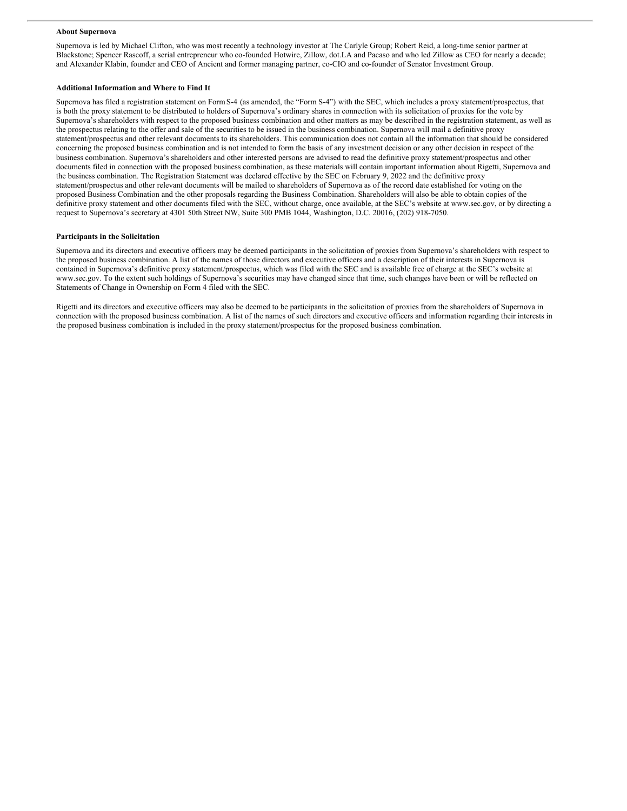## **About Supernova**

Supernova is led by Michael Clifton, who was most recently a technology investor at The Carlyle Group; Robert Reid, a long-time senior partner at Blackstone; Spencer Rascoff, a serial entrepreneur who co-founded Hotwire, Zillow, dot.LA and Pacaso and who led Zillow as CEO for nearly a decade; and Alexander Klabin, founder and CEO of Ancient and former managing partner, co-CIO and co-founder of Senator Investment Group.

#### **Additional Information and Where to Find It**

Supernova has filed a registration statement on FormS-4 (as amended, the "Form S-4") with the SEC, which includes a proxy statement/prospectus, that is both the proxy statement to be distributed to holders of Supernova's ordinary shares in connection with its solicitation of proxies for the vote by Supernova's shareholders with respect to the proposed business combination and other matters as may be described in the registration statement, as well as the prospectus relating to the offer and sale of the securities to be issued in the business combination. Supernova will mail a definitive proxy statement/prospectus and other relevant documents to its shareholders. This communication does not contain all the information that should be considered concerning the proposed business combination and is not intended to form the basis of any investment decision or any other decision in respect of the business combination. Supernova's shareholders and other interested persons are advised to read the definitive proxy statement/prospectus and other documents filed in connection with the proposed business combination, as these materials will contain important information about Rigetti, Supernova and the business combination. The Registration Statement was declared effective by the SEC on February 9, 2022 and the definitive proxy statement/prospectus and other relevant documents will be mailed to shareholders of Supernova as of the record date established for voting on the proposed Business Combination and the other proposals regarding the Business Combination. Shareholders will also be able to obtain copies of the definitive proxy statement and other documents filed with the SEC, without charge, once available, at the SEC's website at www.sec.gov, or by directing a request to Supernova's secretary at 4301 50th Street NW, Suite 300 PMB 1044, Washington, D.C. 20016, (202) 918-7050.

## **Participants in the Solicitation**

Supernova and its directors and executive officers may be deemed participants in the solicitation of proxies from Supernova's shareholders with respect to the proposed business combination. A list of the names of those directors and executive officers and a description of their interests in Supernova is contained in Supernova's definitive proxy statement/prospectus, which was filed with the SEC and is available free of charge at the SEC's website at www.sec.gov. To the extent such holdings of Supernova's securities may have changed since that time, such changes have been or will be reflected on Statements of Change in Ownership on Form 4 filed with the SEC.

Rigetti and its directors and executive officers may also be deemed to be participants in the solicitation of proxies from the shareholders of Supernova in connection with the proposed business combination. A list of the names of such directors and executive officers and information regarding their interests in the proposed business combination is included in the proxy statement/prospectus for the proposed business combination.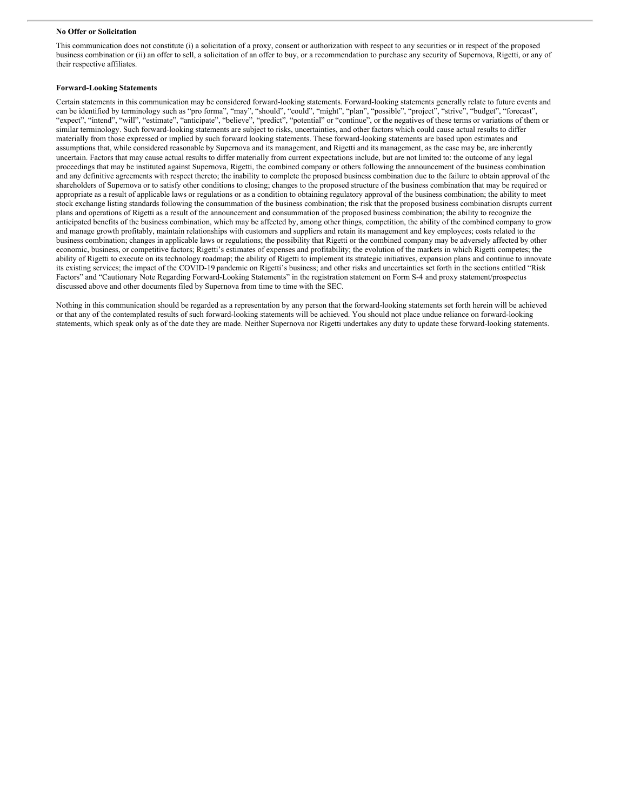#### **No Offer or Solicitation**

This communication does not constitute (i) a solicitation of a proxy, consent or authorization with respect to any securities or in respect of the proposed business combination or (ii) an offer to sell, a solicitation of an offer to buy, or a recommendation to purchase any security of Supernova, Rigetti, or any of their respective affiliates.

#### **Forward-Looking Statements**

Certain statements in this communication may be considered forward-looking statements. Forward-looking statements generally relate to future events and can be identified by terminology such as "pro forma", "may", "should", "could", "might", "plan", "possible", "project", "strive", "budget", "forecast", "expect", "intend", "will", "estimate", "anticipate", "believe", "predict", "potential" or "continue", or the negatives of these terms or variations of them or similar terminology. Such forward-looking statements are subject to risks, uncertainties, and other factors which could cause actual results to differ materially from those expressed or implied by such forward looking statements. These forward-looking statements are based upon estimates and assumptions that, while considered reasonable by Supernova and its management, and Rigetti and its management, as the case may be, are inherently uncertain. Factors that may cause actual results to differ materially from current expectations include, but are not limited to: the outcome of any legal proceedings that may be instituted against Supernova, Rigetti, the combined company or others following the announcement of the business combination and any definitive agreements with respect thereto; the inability to complete the proposed business combination due to the failure to obtain approval of the shareholders of Supernova or to satisfy other conditions to closing; changes to the proposed structure of the business combination that may be required or appropriate as a result of applicable laws or regulations or as a condition to obtaining regulatory approval of the business combination; the ability to meet stock exchange listing standards following the consummation of the business combination; the risk that the proposed business combination disrupts current plans and operations of Rigetti as a result of the announcement and consummation of the proposed business combination; the ability to recognize the anticipated benefits of the business combination, which may be affected by, among other things, competition, the ability of the combined company to grow and manage growth profitably, maintain relationships with customers and suppliers and retain its management and key employees; costs related to the business combination; changes in applicable laws or regulations; the possibility that Rigetti or the combined company may be adversely affected by other economic, business, or competitive factors; Rigetti's estimates of expenses and profitability; the evolution of the markets in which Rigetti competes; the ability of Rigetti to execute on its technology roadmap; the ability of Rigetti to implement its strategic initiatives, expansion plans and continue to innovate its existing services; the impact of the COVID-19 pandemic on Rigetti's business; and other risks and uncertainties set forth in the sections entitled "Risk Factors" and "Cautionary Note Regarding Forward-Looking Statements" in the registration statement on Form S-4 and proxy statement/prospectus discussed above and other documents filed by Supernova from time to time with the SEC.

Nothing in this communication should be regarded as a representation by any person that the forward-looking statements set forth herein will be achieved or that any of the contemplated results of such forward-looking statements will be achieved. You should not place undue reliance on forward-looking statements, which speak only as of the date they are made. Neither Supernova nor Rigetti undertakes any duty to update these forward-looking statements.